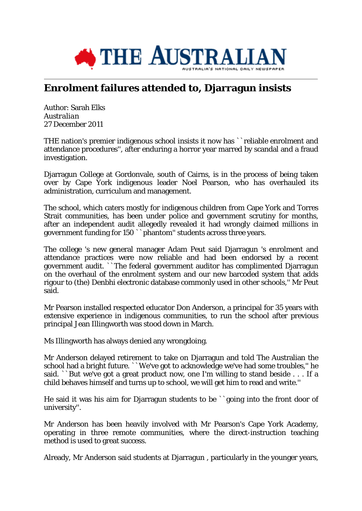

## **Enrolment failures attended to, Djarragun insists**

Author: Sarah Elks *Australian* 27 December 2011

THE nation's premier indigenous school insists it now has ``reliable enrolment and attendance procedures'', after enduring a horror year marred by scandal and a fraud investigation.

Djarragun College at Gordonvale, south of Cairns, is in the process of being taken over by Cape York indigenous leader Noel Pearson, who has overhauled its administration, curriculum and management.

The school, which caters mostly for indigenous children from Cape York and Torres Strait communities, has been under police and government scrutiny for months, after an independent audit allegedly revealed it had wrongly claimed millions in government funding for 150 ``phantom'' students across three years.

The college 's new general manager Adam Peut said Djarragun 's enrolment and attendance practices were now reliable and had been endorsed by a recent government audit. ``The federal government auditor has complimented Djarragun on the overhaul of the enrolment system and our new barcoded system that adds rigour to (the) Denbhi electronic database commonly used in other schools,'' Mr Peut said.

Mr Pearson installed respected educator Don Anderson, a principal for 35 years with extensive experience in indigenous communities, to run the school after previous principal Jean Illingworth was stood down in March.

Ms Illingworth has always denied any wrongdoing.

Mr Anderson delayed retirement to take on Djarragun and told The Australian the school had a bright future. ``We've got to acknowledge we've had some troubles,'' he said. ``But we've got a great product now, one I'm willing to stand beside . . . If a child behaves himself and turns up to school, we will get him to read and write.''

He said it was his aim for Djarragun students to be ``going into the front door of university''.

Mr Anderson has been heavily involved with Mr Pearson's Cape York Academy, operating in three remote communities, where the direct-instruction teaching method is used to great success.

Already, Mr Anderson said students at Djarragun , particularly in the younger years,